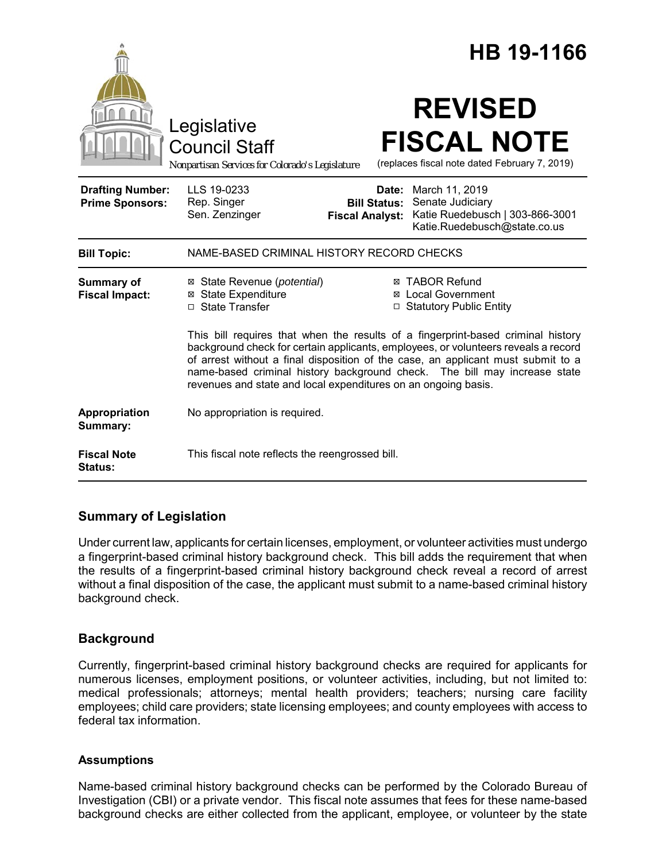|                                                   |                                                                                                                                                                                                                                                                                                                                                                                                           |                                               | HB 19-1166                                                                                                  |
|---------------------------------------------------|-----------------------------------------------------------------------------------------------------------------------------------------------------------------------------------------------------------------------------------------------------------------------------------------------------------------------------------------------------------------------------------------------------------|-----------------------------------------------|-------------------------------------------------------------------------------------------------------------|
|                                                   | Legislative<br><b>Council Staff</b><br>Nonpartisan Services for Colorado's Legislature                                                                                                                                                                                                                                                                                                                    |                                               | <b>REVISED</b><br><b>FISCAL NOTE</b><br>(replaces fiscal note dated February 7, 2019)                       |
| <b>Drafting Number:</b><br><b>Prime Sponsors:</b> | LLS 19-0233<br>Rep. Singer<br>Sen. Zenzinger                                                                                                                                                                                                                                                                                                                                                              | <b>Bill Status:</b><br><b>Fiscal Analyst:</b> | Date: March 11, 2019<br>Senate Judiciary<br>Katie Ruedebusch   303-866-3001<br>Katie.Ruedebusch@state.co.us |
| <b>Bill Topic:</b>                                | NAME-BASED CRIMINAL HISTORY RECORD CHECKS                                                                                                                                                                                                                                                                                                                                                                 |                                               |                                                                                                             |
| Summary of<br><b>Fiscal Impact:</b>               | ⊠ State Revenue ( <i>potential</i> )<br><b>⊠</b> State Expenditure<br>□ State Transfer                                                                                                                                                                                                                                                                                                                    |                                               | <b>⊠ TABOR Refund</b><br><b>⊠</b> Local Government<br>□ Statutory Public Entity                             |
|                                                   | This bill requires that when the results of a fingerprint-based criminal history<br>background check for certain applicants, employees, or volunteers reveals a record<br>of arrest without a final disposition of the case, an applicant must submit to a<br>name-based criminal history background check. The bill may increase state<br>revenues and state and local expenditures on an ongoing basis. |                                               |                                                                                                             |
| Appropriation<br>Summary:                         | No appropriation is required.                                                                                                                                                                                                                                                                                                                                                                             |                                               |                                                                                                             |
| <b>Fiscal Note</b><br>Status:                     | This fiscal note reflects the reengrossed bill.                                                                                                                                                                                                                                                                                                                                                           |                                               |                                                                                                             |

# **Summary of Legislation**

Under current law, applicants for certain licenses, employment, or volunteer activities must undergo a fingerprint-based criminal history background check. This bill adds the requirement that when the results of a fingerprint-based criminal history background check reveal a record of arrest without a final disposition of the case, the applicant must submit to a name-based criminal history background check.

# **Background**

Currently, fingerprint-based criminal history background checks are required for applicants for numerous licenses, employment positions, or volunteer activities, including, but not limited to: medical professionals; attorneys; mental health providers; teachers; nursing care facility employees; child care providers; state licensing employees; and county employees with access to federal tax information.

## **Assumptions**

Name-based criminal history background checks can be performed by the Colorado Bureau of Investigation (CBI) or a private vendor. This fiscal note assumes that fees for these name-based background checks are either collected from the applicant, employee, or volunteer by the state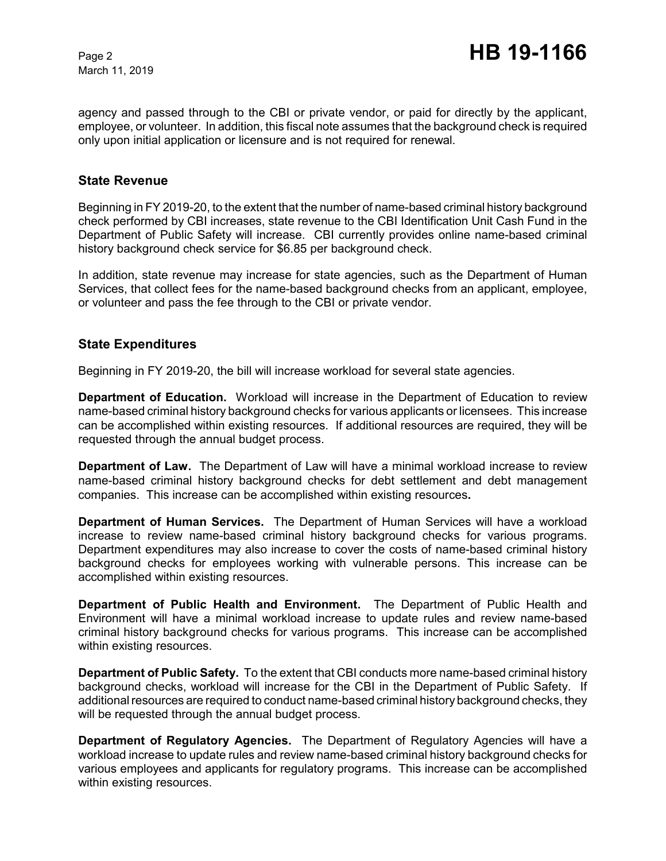March 11, 2019

agency and passed through to the CBI or private vendor, or paid for directly by the applicant, employee, or volunteer. In addition, this fiscal note assumes that the background check is required only upon initial application or licensure and is not required for renewal.

### **State Revenue**

Beginning in FY 2019-20, to the extent that the number of name-based criminal history background check performed by CBI increases, state revenue to the CBI Identification Unit Cash Fund in the Department of Public Safety will increase. CBI currently provides online name-based criminal history background check service for \$6.85 per background check.

In addition, state revenue may increase for state agencies, such as the Department of Human Services, that collect fees for the name-based background checks from an applicant, employee, or volunteer and pass the fee through to the CBI or private vendor.

## **State Expenditures**

Beginning in FY 2019-20, the bill will increase workload for several state agencies.

**Department of Education.** Workload will increase in the Department of Education to review name-based criminal history background checks for various applicants or licensees. This increase can be accomplished within existing resources.If additional resources are required, they will be requested through the annual budget process.

**Department of Law.** The Department of Law will have a minimal workload increase to review name-based criminal history background checks for debt settlement and debt management companies. This increase can be accomplished within existing resources**.**

**Department of Human Services.** The Department of Human Services will have a workload increase to review name-based criminal history background checks for various programs. Department expenditures may also increase to cover the costs of name-based criminal history background checks for employees working with vulnerable persons. This increase can be accomplished within existing resources.

**Department of Public Health and Environment.** The Department of Public Health and Environment will have a minimal workload increase to update rules and review name-based criminal history background checks for various programs. This increase can be accomplished within existing resources.

**Department of Public Safety.** To the extent that CBI conducts more name-based criminal history background checks, workload will increase for the CBI in the Department of Public Safety. If additional resources are required to conduct name-based criminal history background checks, they will be requested through the annual budget process.

**Department of Regulatory Agencies.** The Department of Regulatory Agencies will have a workload increase to update rules and review name-based criminal history background checks for various employees and applicants for regulatory programs. This increase can be accomplished within existing resources.